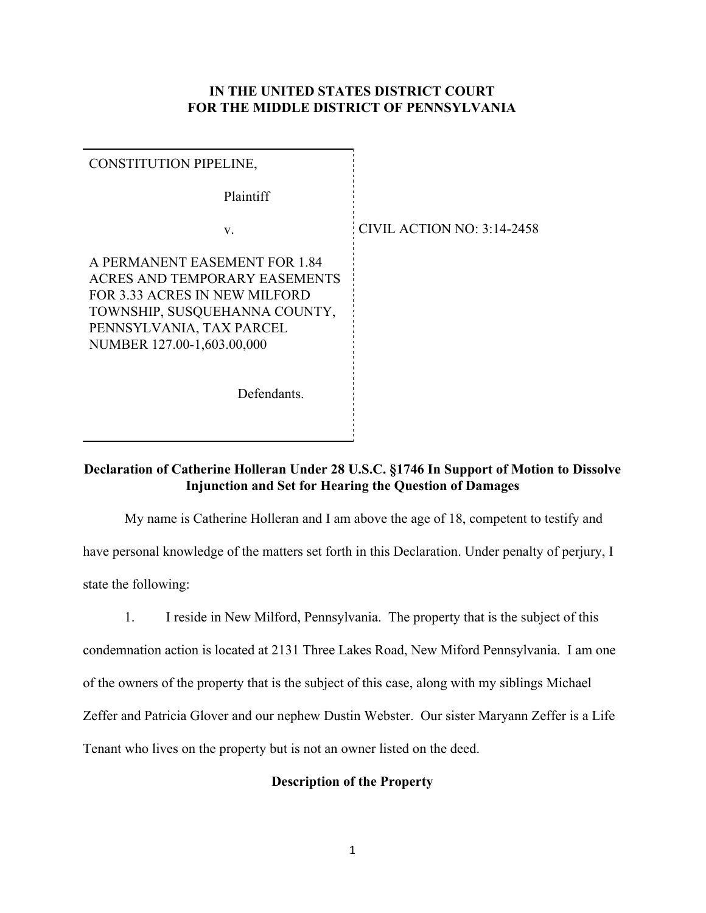### **IN THE UNITED STATES DISTRICT COURT FOR THE MIDDLE DISTRICT OF PENNSYLVANIA**

| <b>CONSTITUTION PIPELINE,</b>                                                                                                                                                                     |                            |
|---------------------------------------------------------------------------------------------------------------------------------------------------------------------------------------------------|----------------------------|
| Plaintiff                                                                                                                                                                                         |                            |
| V.                                                                                                                                                                                                | CIVIL ACTION NO: 3:14-2458 |
| A PERMANENT EASEMENT FOR 1.84<br><b>ACRES AND TEMPORARY EASEMENTS</b><br>FOR 3.33 ACRES IN NEW MILFORD<br>TOWNSHIP, SUSQUEHANNA COUNTY,<br>PENNSYLVANIA, TAX PARCEL<br>NUMBER 127.00-1,603.00,000 |                            |
| Defendants.                                                                                                                                                                                       |                            |
|                                                                                                                                                                                                   |                            |

# **Declaration of Catherine Holleran Under 28 U.S.C. §1746 In Support of Motion to Dissolve Injunction and Set for Hearing the Question of Damages**

My name is Catherine Holleran and I am above the age of 18, competent to testify and have personal knowledge of the matters set forth in this Declaration. Under penalty of perjury, I state the following:

1. I reside in New Milford, Pennsylvania. The property that is the subject of this condemnation action is located at 2131 Three Lakes Road, New Miford Pennsylvania. I am one

of the owners of the property that is the subject of this case, along with my siblings Michael

Zeffer and Patricia Glover and our nephew Dustin Webster. Our sister Maryann Zeffer is a Life

Tenant who lives on the property but is not an owner listed on the deed.

# **Description of the Property**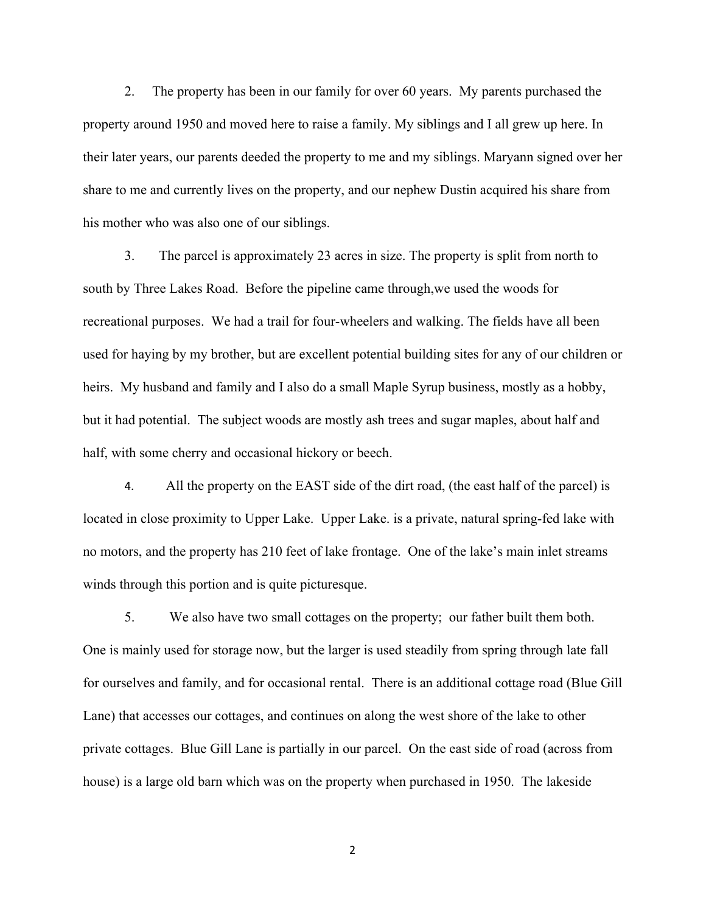2. The property has been in our family for over 60 years. My parents purchased the property around 1950 and moved here to raise a family. My siblings and I all grew up here. In their later years, our parents deeded the property to me and my siblings. Maryann signed over her share to me and currently lives on the property, and our nephew Dustin acquired his share from his mother who was also one of our siblings.

3. The parcel is approximately 23 acres in size. The property is split from north to south by Three Lakes Road. Before the pipeline came through,we used the woods for recreational purposes. We had a trail for four-wheelers and walking. The fields have all been used for haying by my brother, but are excellent potential building sites for any of our children or heirs. My husband and family and I also do a small Maple Syrup business, mostly as a hobby, but it had potential. The subject woods are mostly ash trees and sugar maples, about half and half, with some cherry and occasional hickory or beech.

4. All the property on the EAST side of the dirt road, (the east half of the parcel) is located in close proximity to Upper Lake. Upper Lake. is a private, natural spring-fed lake with no motors, and the property has 210 feet of lake frontage. One of the lake's main inlet streams winds through this portion and is quite picturesque.

5. We also have two small cottages on the property; our father built them both. One is mainly used for storage now, but the larger is used steadily from spring through late fall for ourselves and family, and for occasional rental. There is an additional cottage road (Blue Gill Lane) that accesses our cottages, and continues on along the west shore of the lake to other private cottages. Blue Gill Lane is partially in our parcel. On the east side of road (across from house) is a large old barn which was on the property when purchased in 1950. The lakeside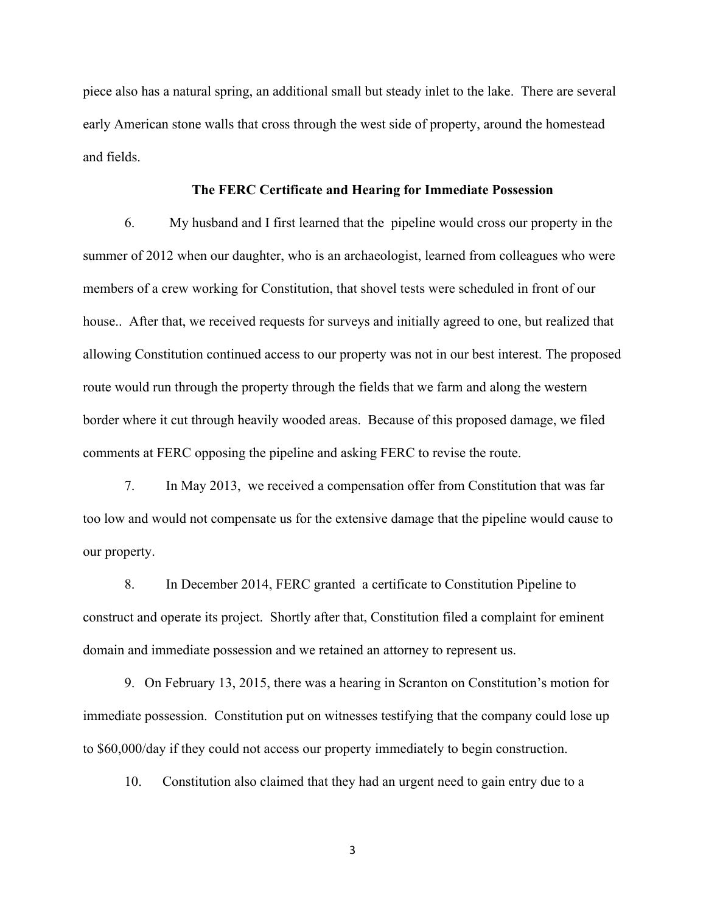piece also has a natural spring, an additional small but steady inlet to the lake. There are several early American stone walls that cross through the west side of property, around the homestead and fields.

#### **The FERC Certificate and Hearing for Immediate Possession**

6. My husband and I first learned that the pipeline would cross our property in the summer of 2012 when our daughter, who is an archaeologist, learned from colleagues who were members of a crew working for Constitution, that shovel tests were scheduled in front of our house.. After that, we received requests for surveys and initially agreed to one, but realized that allowing Constitution continued access to our property was not in our best interest. The proposed route would run through the property through the fields that we farm and along the western border where it cut through heavily wooded areas. Because of this proposed damage, we filed comments at FERC opposing the pipeline and asking FERC to revise the route.

7. In May 2013, we received a compensation offer from Constitution that was far too low and would not compensate us for the extensive damage that the pipeline would cause to our property.

8. In December 2014, FERC granted a certificate to Constitution Pipeline to construct and operate its project. Shortly after that, Constitution filed a complaint for eminent domain and immediate possession and we retained an attorney to represent us.

9. On February 13, 2015, there was a hearing in Scranton on Constitution's motion for immediate possession. Constitution put on witnesses testifying that the company could lose up to \$60,000/day if they could not access our property immediately to begin construction.

10. Constitution also claimed that they had an urgent need to gain entry due to a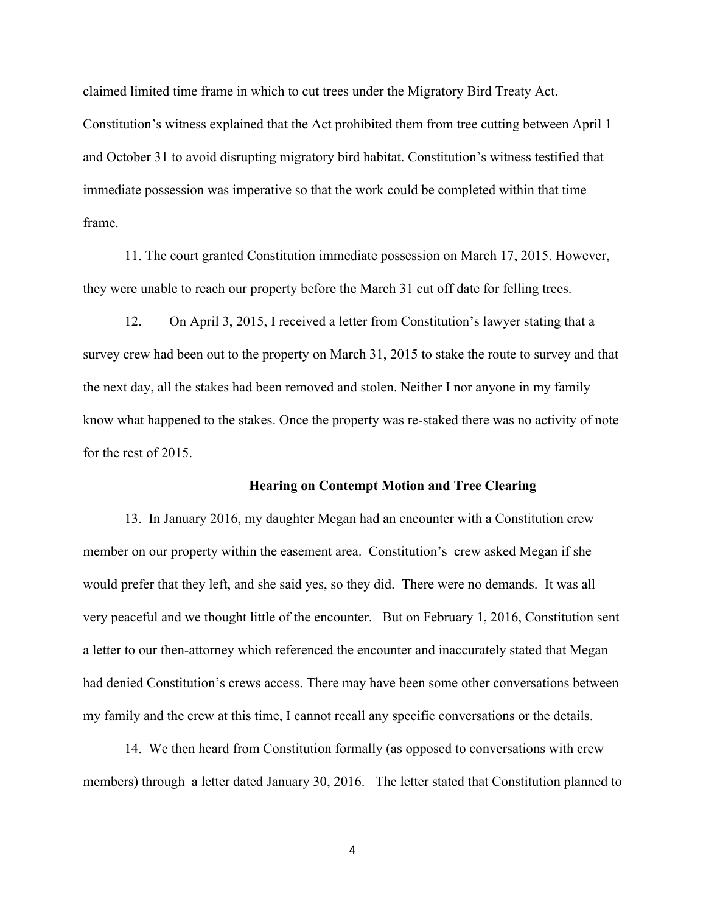claimed limited time frame in which to cut trees under the Migratory Bird Treaty Act. Constitution's witness explained that the Act prohibited them from tree cutting between April 1 and October 31 to avoid disrupting migratory bird habitat. Constitution's witness testified that immediate possession was imperative so that the work could be completed within that time frame.

11. The court granted Constitution immediate possession on March 17, 2015. However, they were unable to reach our property before the March 31 cut off date for felling trees.

12. On April 3, 2015, I received a letter from Constitution's lawyer stating that a survey crew had been out to the property on March 31, 2015 to stake the route to survey and that the next day, all the stakes had been removed and stolen. Neither I nor anyone in my family know what happened to the stakes. Once the property was re-staked there was no activity of note for the rest of 2015.

#### **Hearing on Contempt Motion and Tree Clearing**

13. In January 2016, my daughter Megan had an encounter with a Constitution crew member on our property within the easement area. Constitution's crew asked Megan if she would prefer that they left, and she said yes, so they did. There were no demands. It was all very peaceful and we thought little of the encounter. But on February 1, 2016, Constitution sent a letter to our then-attorney which referenced the encounter and inaccurately stated that Megan had denied Constitution's crews access. There may have been some other conversations between my family and the crew at this time, I cannot recall any specific conversations or the details.

14. We then heard from Constitution formally (as opposed to conversations with crew members) through a letter dated January 30, 2016. The letter stated that Constitution planned to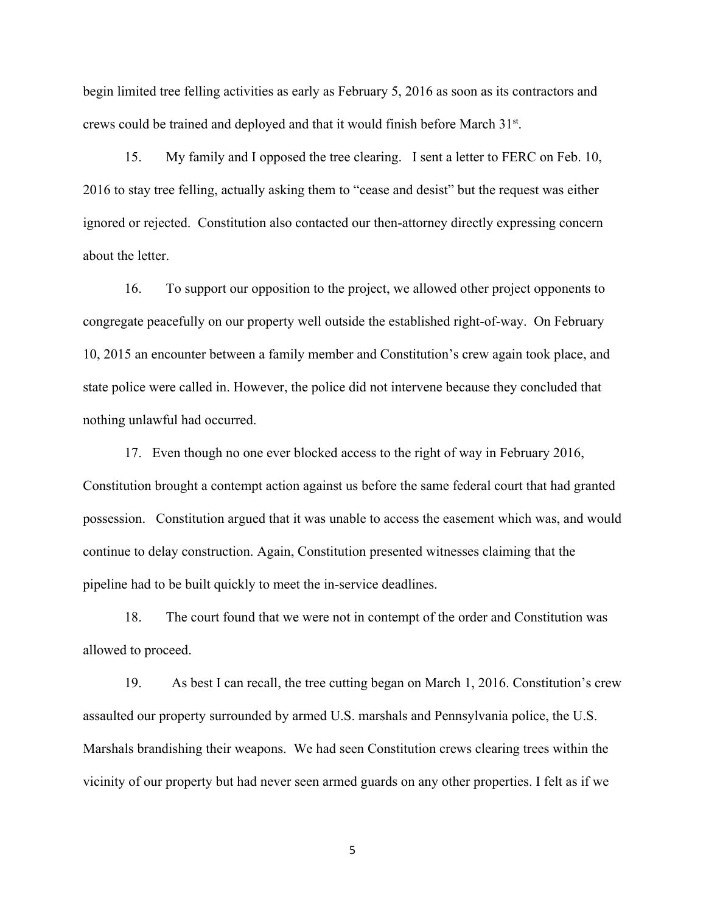begin limited tree felling activities as early as February 5, 2016 as soon as its contractors and crews could be trained and deployed and that it would finish before March 31st.

15. My family and I opposed the tree clearing. I sent a letter to FERC on Feb. 10, 2016 to stay tree felling, actually asking them to "cease and desist" but the request was either ignored or rejected. Constitution also contacted our then-attorney directly expressing concern about the letter.

16. To support our opposition to the project, we allowed other project opponents to congregate peacefully on our property well outside the established right-of-way. On February 10, 2015 an encounter between a family member and Constitution's crew again took place, and state police were called in. However, the police did not intervene because they concluded that nothing unlawful had occurred.

17. Even though no one ever blocked access to the right of way in February 2016, Constitution brought a contempt action against us before the same federal court that had granted possession. Constitution argued that it was unable to access the easement which was, and would continue to delay construction. Again, Constitution presented witnesses claiming that the pipeline had to be built quickly to meet the in-service deadlines.

18. The court found that we were not in contempt of the order and Constitution was allowed to proceed.

19. As best I can recall, the tree cutting began on March 1, 2016. Constitution's crew assaulted our property surrounded by armed U.S. marshals and Pennsylvania police, the U.S. Marshals brandishing their weapons. We had seen Constitution crews clearing trees within the vicinity of our property but had never seen armed guards on any other properties. I felt as if we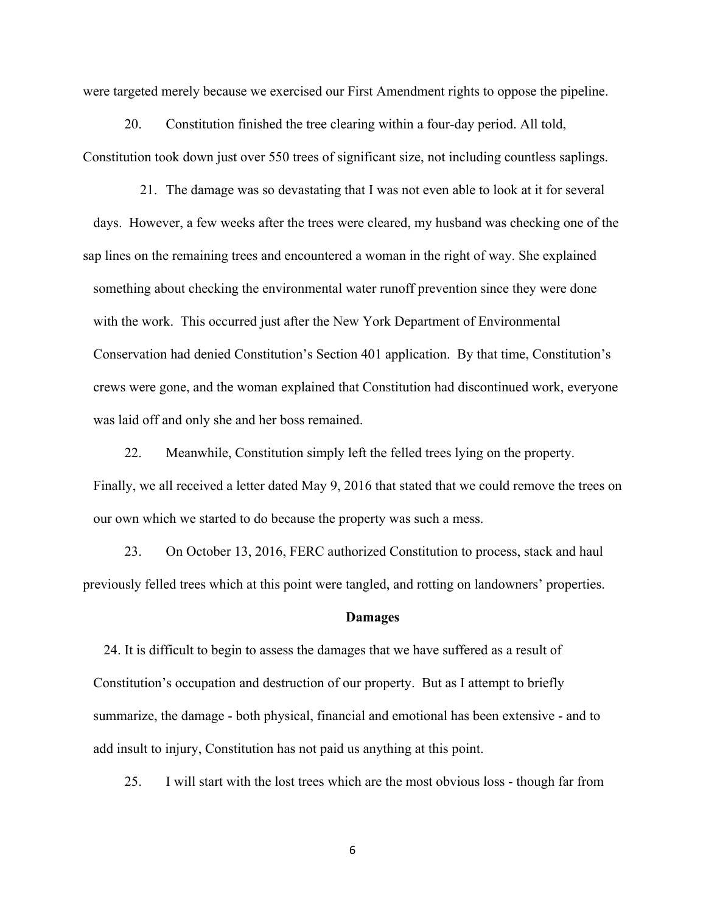were targeted merely because we exercised our First Amendment rights to oppose the pipeline.

20. Constitution finished the tree clearing within a four-day period. All told, Constitution took down just over 550 trees of significant size, not including countless saplings.

21. The damage was so devastating that I was not even able to look at it for several days. However, a few weeks after the trees were cleared, my husband was checking one of the sap lines on the remaining trees and encountered a woman in the right of way. She explained something about checking the environmental water runoff prevention since they were done with the work. This occurred just after the New York Department of Environmental Conservation had denied Constitution's Section 401 application. By that time, Constitution's crews were gone, and the woman explained that Constitution had discontinued work, everyone was laid off and only she and her boss remained.

22. Meanwhile, Constitution simply left the felled trees lying on the property. Finally, we all received a letter dated May 9, 2016 that stated that we could remove the trees on our own which we started to do because the property was such a mess.

23. On October 13, 2016, FERC authorized Constitution to process, stack and haul previously felled trees which at this point were tangled, and rotting on landowners' properties.

### **Damages**

24. It is difficult to begin to assess the damages that we have suffered as a result of Constitution's occupation and destruction of our property. But as I attempt to briefly summarize, the damage - both physical, financial and emotional has been extensive - and to add insult to injury, Constitution has not paid us anything at this point.

25. I will start with the lost trees which are the most obvious loss - though far from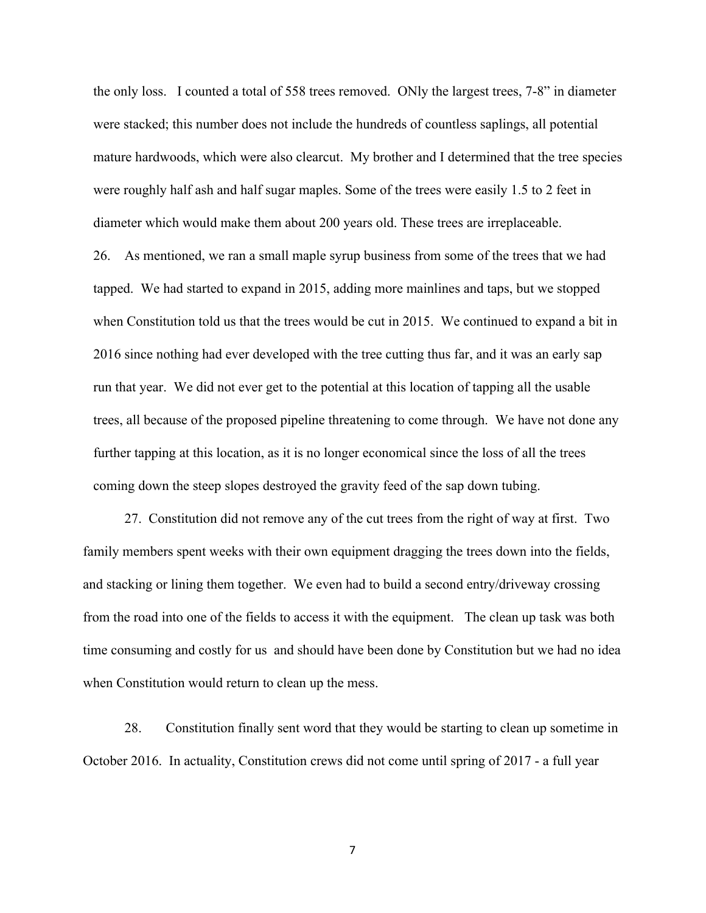the only loss. I counted a total of 558 trees removed. ONly the largest trees, 7-8" in diameter were stacked; this number does not include the hundreds of countless saplings, all potential mature hardwoods, which were also clearcut. My brother and I determined that the tree species were roughly half ash and half sugar maples. Some of the trees were easily 1.5 to 2 feet in diameter which would make them about 200 years old. These trees are irreplaceable.

26. As mentioned, we ran a small maple syrup business from some of the trees that we had tapped. We had started to expand in 2015, adding more mainlines and taps, but we stopped when Constitution told us that the trees would be cut in 2015. We continued to expand a bit in 2016 since nothing had ever developed with the tree cutting thus far, and it was an early sap run that year. We did not ever get to the potential at this location of tapping all the usable trees, all because of the proposed pipeline threatening to come through. We have not done any further tapping at this location, as it is no longer economical since the loss of all the trees coming down the steep slopes destroyed the gravity feed of the sap down tubing.

27. Constitution did not remove any of the cut trees from the right of way at first. Two family members spent weeks with their own equipment dragging the trees down into the fields, and stacking or lining them together. We even had to build a second entry/driveway crossing from the road into one of the fields to access it with the equipment. The clean up task was both time consuming and costly for us and should have been done by Constitution but we had no idea when Constitution would return to clean up the mess.

28. Constitution finally sent word that they would be starting to clean up sometime in October 2016. In actuality, Constitution crews did not come until spring of 2017 - a full year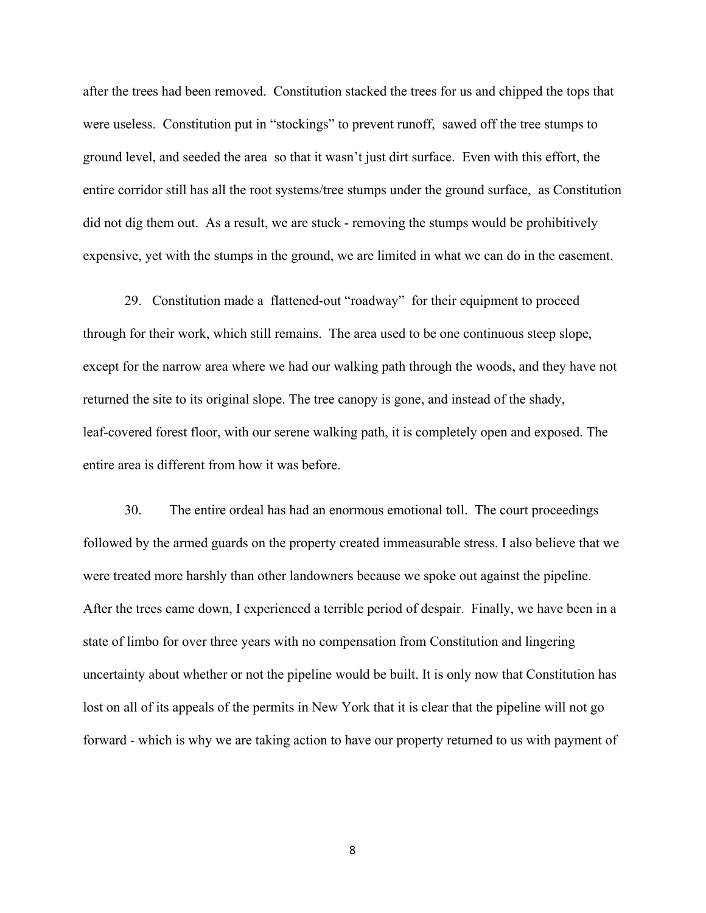after the trees had been removed. Constitution stacked the trees for us and chipped the tops that were useless. Constitution put in "stockings" to prevent runoff, sawed off the tree stumps to ground level, and seeded the area so that it wasn't just dirt surface. Even with this effort, the entire corridor still has all the root systems/tree stumps under the ground surface, as Constitution did not dig them out. As a result, we are stuck - removing the stumps would be prohibitively expensive, yet with the stumps in the ground, we are limited in what we can do in the easement.

29. Constitution made a flattened-out "roadway" for their equipment to proceed through for their work, which still remains. The area used to be one continuous steep slope, except for the narrow area where we had our walking path through the woods, and they have not returned the site to its original slope. The tree canopy is gone, and instead of the shady, leaf-covered forest floor, with our serene walking path, it is completely open and exposed. The entire area is different from how it was before.

30. The entire ordeal has had an enormous emotional toll. The court proceedings followed by the armed guards on the property created immeasurable stress. I also believe that we were treated more harshly than other landowners because we spoke out against the pipeline. After the trees came down, I experienced a terrible period of despair. Finally, we have been in a state of limbo for over three years with no compensation from Constitution and lingering uncertainty about whether or not the pipeline would be built. It is only now that Constitution has lost on all of its appeals of the permits in New York that it is clear that the pipeline will not go forward - which is why we are taking action to have our property returned to us with payment of